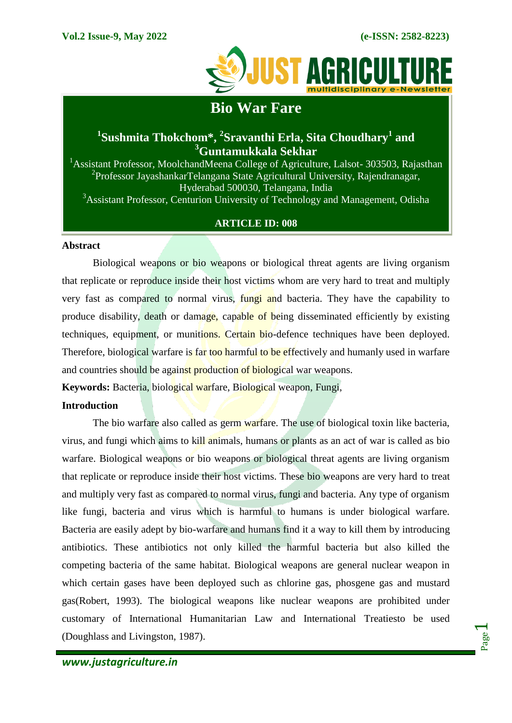

# **Bio War Fare**

## **1 Sushmita Thokchom\*, <sup>2</sup> Sravanthi Erla, Sita Choudhary<sup>1</sup> and <sup>3</sup>Guntamukkala Sekhar**

<sup>1</sup> Assistant Professor, MoolchandMeena College of Agriculture, Lalsot- 303503, Rajasthan <sup>2</sup> Professor Jayashankar Telangana State Agricultural University, Rajendranagar, Hyderabad 500030, Telangana, India <sup>3</sup>Assistant Professor, Centurion University of Technology and Management, Odisha

## **ARTICLE ID: 008**

#### **Abstract**

Biological weapons or bio weapons or biological threat agents are living organism that replicate or reproduce inside their host victims whom are very hard to treat and multiply very fast as compared to normal virus, fungi and bacteria. They have the capability to produce disability, death or damage, capable of being disseminated efficiently by existing techniques, equipment, or munitions. Certain bio-defence techniques have been deployed. Therefore, biological warfare is far too harmful to be effectively and humanly used in warfare and countries should be against production of biological war weapons.

**Keywords:** Bacteria, biological warfare, Biological weapon, Fungi,

## **Introduction**

The bio warfare also called as germ warfare. The use of biological toxin like bacteria, virus, and fungi which aims to kill animals, humans or plants as an act of war is called as bio warfare. Biological weapons or bio weapons or biological threat agents are living organism that replicate or reproduce inside their host victims. These bio weapons are very hard to treat and multiply very fast as compared to normal virus, fungi and bacteria. Any type of organism like fungi, bacteria and virus which is harmful to humans is under biological warfare. Bacteria are easily adept by bio-warfare and humans find it a way to kill them by introducing antibiotics. These antibiotics not only killed the harmful bacteria but also killed the competing bacteria of the same habitat. Biological weapons are general nuclear weapon in which certain gases have been deployed such as chlorine gas, phosgene gas and mustard gas(Robert, 1993). The biological weapons like nuclear weapons are prohibited under customary of International Humanitarian Law and International Treatiesto be used (Doughlass and Livingston, 1987).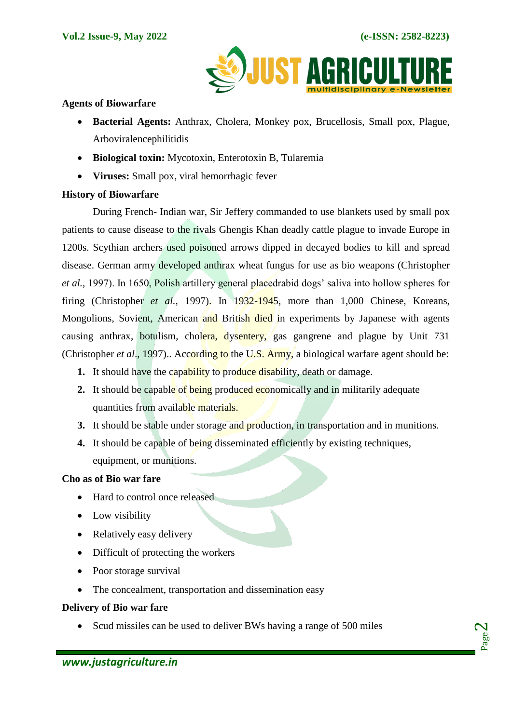Page  $\boldsymbol{\sim}$ 



## **Agents of Biowarfare**

- **Bacterial Agents:** Anthrax, Cholera, Monkey pox, Brucellosis, Small pox, Plague, Arboviralencephilitidis
- **Biological toxin:** Mycotoxin, Enterotoxin B, Tularemia
- **Viruses:** Small pox, viral hemorrhagic fever

## **History of Biowarfare**

During French- Indian war, Sir Jeffery commanded to use blankets used by small pox patients to cause disease to the rivals Ghengis Khan deadly cattle plague to invade Europe in 1200s. Scythian archers used poisoned arrows dipped in decayed bodies to kill and spread disease. German army developed anthrax wheat fungus for use as bio weapons (Christopher *et al.,* 1997). In 1650, Polish artillery general placedrabid dogs' saliva into hollow spheres for firing (Christopher *et al.,* 1997). In 1932-1945, more than 1,000 Chinese, Koreans, Mongolions, Sovient, American and British died in experiments by Japanese with agents causing anthrax, botulism, cholera, dysentery, gas gangrene and plague by Unit 731 (Christopher *et al*., 1997).. According to the U.S. Army, a biological warfare agent should be:

- **1.** It should have the capability to produce disability, death or damage.
- **2.** It should be capable of being produced economically and in militarily adequate quantities from available materials.
- **3.** It should be stable under storage and production, in transportation and in munitions.
- **4.** It should be capable of being disseminated efficiently by existing techniques, equipment, or munitions.

#### **Cho as of Bio war fare**

- Hard to control once released
- Low visibility
- Relatively easy delivery
- Difficult of protecting the workers
- Poor storage survival
- The concealment, transportation and dissemination easy

## **Delivery of Bio war fare**

• Scud missiles can be used to deliver BWs having a range of 500 miles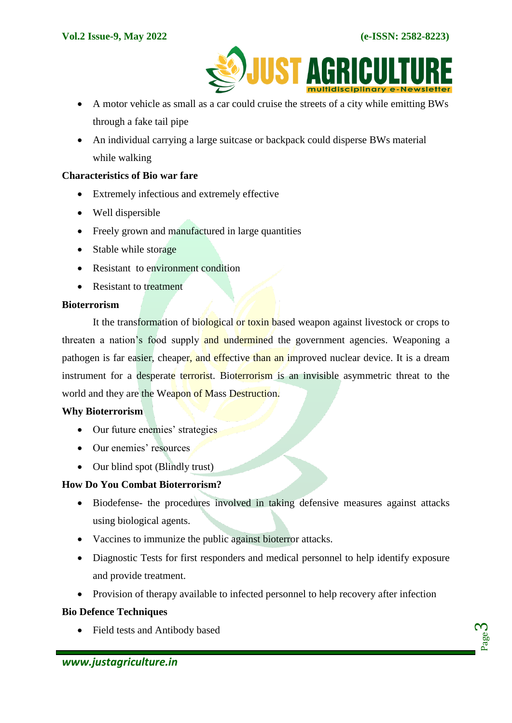

- A motor vehicle as small as a car could cruise the streets of a city while emitting BWs through a fake tail pipe
- An individual carrying a large suitcase or backpack could disperse BWs material while walking

#### **Characteristics of Bio war fare**

- Extremely infectious and extremely effective
- Well dispersible
- Freely grown and manufactured in large quantities
- Stable while storage
- Resistant to environment condition
- Resistant to treatment

#### **Bioterrorism**

It the transformation of biological or toxin based weapon against livestock or crops to threaten a nation's food supply and undermined the government agencies. Weaponing a pathogen is far easier, cheaper, and effective than an improved nuclear device. It is a dream instrument for a desperate terrorist. Bioterrorism is an invisible asymmetric threat to the world and they are the Weapon of Mass Destruction.

## **Why Bioterrorism**

- Our future enemies' strategies
- Our enemies' resources
- Our blind spot (Blindly trust)

## **How Do You Combat Bioterrorism?**

- Biodefense- the procedures involved in taking defensive measures against attacks using biological agents.
- Vaccines to immunize the public against bioterror attacks.
- Diagnostic Tests for first responders and medical personnel to help identify exposure and provide treatment.
- Provision of therapy available to infected personnel to help recovery after infection

## **Bio Defence Techniques**

Field tests and Antibody based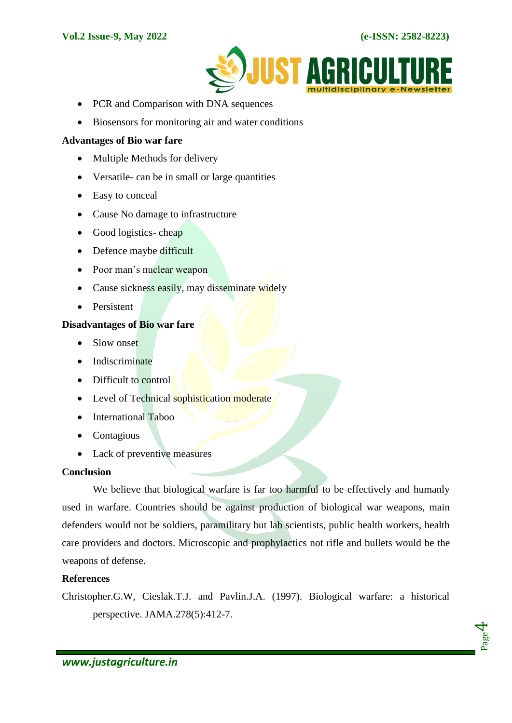

- PCR and Comparison with DNA sequences
- Biosensors for monitoring air and water conditions

## **Advantages of Bio war fare**

- Multiple Methods for delivery
- Versatile- can be in small or large quantities
- Easy to conceal
- Cause No damage to infrastructure
- $\bullet$  Good logistics- cheap
- Defence maybe difficult
- Poor man's nuclear weapon
- Cause sickness easily, may disseminate widely
- Persistent

## **Disadvantages of Bio war fare**

- Slow onset
- Indiscriminate
- Difficult to control
- Level of Technical sophistication moderate
- International Taboo
- Contagious
- Lack of preventive measures

## **Conclusion**

We believe that biological warfare is far too harmful to be effectively and humanly used in warfare. Countries should be against production of biological war weapons, main defenders would not be soldiers, paramilitary but lab scientists, public health workers, health care providers and doctors. Microscopic and prophylactics not rifle and bullets would be the weapons of defense.

## **References**

Christopher.G.W, Cieslak.T.J. and Pavlin.J.A. (1997). Biological warfare: a historical perspective. JAMA.278(5):412-7.